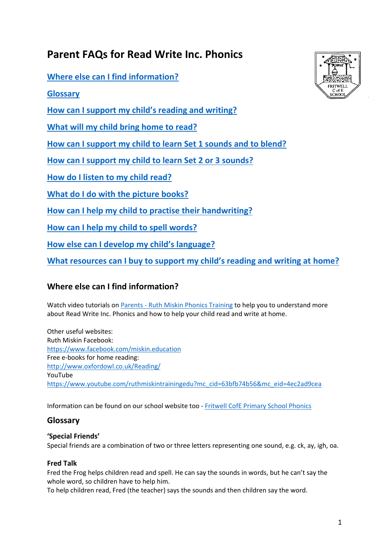# **Parent FAQs for Read Write Inc. Phonics**

**[Where else can I find information?](#page-0-0)**

**[Glossary](#page-0-1)**

**How [can I support my child's reading and writing?](#page-1-0)** 

**[What will my child bring home to read?](#page-1-1)**

**[How can I support my child to learn Set 1 sounds and to blend?](#page-2-0)**

**[How can I support my child to learn Set 2 or 3 sounds?](#page-2-1)**

**[How do I listen to my child read?](#page-2-2)**

**[What do I do with the picture books?](#page-3-0)**

**[How can I help my child to practise their handwriting?](#page-3-1)**

**[How can I help my child to spell words?](#page-3-2)**

**[How else can I develop my child's language?](#page-3-3)**

**[What resources can I buy to support my child's reading and writing at](#page-4-0) home?**

# <span id="page-0-0"></span>**Where else can I find information?**

Watch video tutorials on Parents - [Ruth Miskin Phonics Training](https://www.ruthmiskin.com/en/parents-copy-2/) to help you to understand more about Read Write Inc. Phonics and how to help your child read and write at home.

Other useful websites: Ruth Miskin Facebook: <https://www.facebook.com/miskin.education> Free e-books for home reading: <http://www.oxfordowl.co.uk/Reading/> YouTube [https://www.youtube.com/ruthmiskintrainingedu?mc\\_cid=63bfb74b56&mc\\_eid=4ec2ad9cea](https://www.youtube.com/ruthmiskintrainingedu?mc_cid=63bfb74b56&mc_eid=4ec2ad9cea)

Information can be found on our school website too - [Fritwell CofE Primary School Phonics](http://www.fritwellprimaryschool.co.uk/website/phonics_/468124)

# <span id="page-0-1"></span>**Glossary**

### **'Special Friends'**

Special friends are a combination of two or three letters representing one sound, e.g. ck, ay, igh, oa.

### **Fred Talk**

Fred the Frog helps children read and spell. He can say the sounds in words, but he can't say the whole word, so children have to help him.

To help children read, Fred (the teacher) says the sounds and then children say the word.

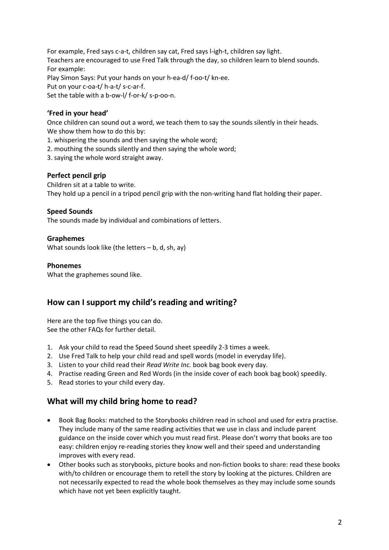For example, Fred says c-a-t, children say cat, Fred says l-igh-t, children say light. Teachers are encouraged to use Fred Talk through the day, so children learn to blend sounds. For example: Play Simon Says: Put your hands on your h-ea-d/ f-oo-t/ kn-ee. Put on your c-oa-t/ h-a-t/ s-c-ar-f. Set the table with a b-ow-l/ f-or-k/ s-p-oo-n.

### **'Fred in your head'**

Once children can sound out a word, we teach them to say the sounds silently in their heads. We show them how to do this by:

- 1. whispering the sounds and then saying the whole word;
- 2. mouthing the sounds silently and then saying the whole word;
- 3. saying the whole word straight away.

#### **Perfect pencil grip**

Children sit at a table to write. They hold up a pencil in a tripod pencil grip with the non-writing hand flat holding their paper.

#### **Speed Sounds**

The sounds made by individual and combinations of letters.

#### **Graphemes**

What sounds look like (the letters  $-$  b, d, sh, ay)

#### **Phonemes**

What the graphemes sound like.

### <span id="page-1-0"></span>**How can I support my child's reading and writing?**

Here are the top five things you can do. See the other FAQs for further detail.

- 1. Ask your child to read the Speed Sound sheet speedily 2-3 times a week.
- 2. Use Fred Talk to help your child read and spell words (model in everyday life).
- 3. Listen to your child read their *Read Write Inc.* book bag book every day.
- 4. Practise reading Green and Red Words (in the inside cover of each book bag book) speedily.
- 5. Read stories to your child every day.

### <span id="page-1-1"></span>**What will my child bring home to read?**

- Book Bag Books: matched to the Storybooks children read in school and used for extra practise. They include many of the same reading activities that we use in class and include parent guidance on the inside cover which you must read first. Please don't worry that books are too easy: children enjoy re-reading stories they know well and their speed and understanding improves with every read.
- Other books such as storybooks, picture books and non-fiction books to share: read these books with/to children or encourage them to retell the story by looking at the pictures. Children are not necessarily expected to read the whole book themselves as they may include some sounds which have not yet been explicitly taught.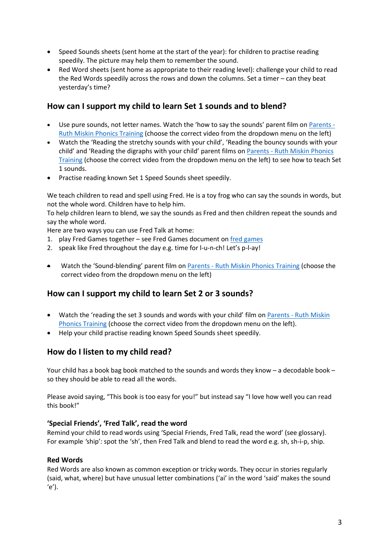- Speed Sounds sheets (sent home at the start of the year): for children to practise reading speedily. The picture may help them to remember the sound.
- Red Word sheets (sent home as appropriate to their reading level): challenge your child to read the Red Words speedily across the rows and down the columns. Set a timer – can they beat yesterday's time?

### <span id="page-2-0"></span>**How can I support my child to learn Set 1 sounds and to blend?**

- Use pure sounds, not letter names. Watch the 'how to say the sounds' parent film o[n Parents -](https://www.ruthmiskin.com/en/parents-copy-2/) [Ruth Miskin Phonics Training](https://www.ruthmiskin.com/en/parents-copy-2/) (choose the correct video from the dropdown menu on the left)
- Watch the 'Reading the stretchy sounds with your child', 'Reading the bouncy sounds with your child' and 'Reading the digraphs with your child' parent films on Parents - [Ruth Miskin Phonics](https://www.ruthmiskin.com/en/parents-copy-2/)  [Training](https://www.ruthmiskin.com/en/parents-copy-2/) (choose the correct video from the dropdown menu on the left) to see how to teach Set 1 sounds.
- Practise reading known Set 1 Speed Sounds sheet speedily.

We teach children to read and spell using Fred. He is a toy frog who can say the sounds in words, but not the whole word. Children have to help him.

To help children learn to blend, we say the sounds as Fred and then children repeat the sounds and say the whole word.

Here are two ways you can use Fred Talk at home:

- 1. play Fred Games together see Fred Games document on [fred games](https://view.officeapps.live.com/op/view.aspx?src=https%3A%2F%2Fwww.ruthmiskin.com%2Fmedia%2Fuploads%2Fdownloads%2Ffred_games.docx&wdOrigin=BROWSELINK)
- 2. speak like Fred throughout the day e.g. time for l-u-n-ch! Let's p-l-ay!
- Watch the 'Sound-blending' parent film on Parents [Ruth Miskin Phonics Training](https://www.ruthmiskin.com/en/parents-copy-2/) (choose the correct video from the dropdown menu on the left)

# <span id="page-2-1"></span>**How can I support my child to learn Set 2 or 3 sounds?**

- Watch the 'reading the set 3 sounds and words with your child' film on Parents Ruth Miskin [Phonics Training](https://www.ruthmiskin.com/en/parents-copy-2/) (choose the correct video from the dropdown menu on the left).
- Help your child practise reading known Speed Sounds sheet speedily.

# <span id="page-2-2"></span>**How do I listen to my child read?**

Your child has a book bag book matched to the sounds and words they know – a decodable book – so they should be able to read all the words.

Please avoid saying, "This book is too easy for you!" but instead say "I love how well you can read this book!"

### **'Special Friends', 'Fred Talk', read the word**

Remind your child to read words using 'Special Friends, Fred Talk, read the word' (see glossary). For example *'*ship'*:* spot the 'sh', then Fred Talk and blend to read the word e.g. sh, sh-i-p, ship.

### **Red Words**

Red Words are also known as common exception or tricky words. They occur in stories regularly (said, what, where) but have unusual letter combinations ('ai' in the word 'said' makes the sound  $(e')$ .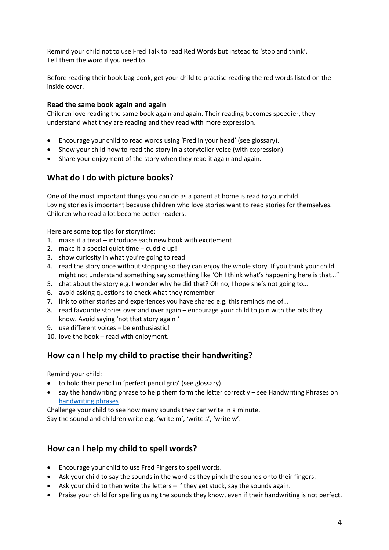Remind your child not to use Fred Talk to read Red Words but instead to 'stop and think'. Tell them the word if you need to.

Before reading their book bag book, get your child to practise reading the red words listed on the inside cover.

#### **Read the same book again and again**

Children love reading the same book again and again. Their reading becomes speedier, they understand what they are reading and they read with more expression.

- Encourage your child to read words using 'Fred in your head' (see glossary).
- Show your child how to read the story in a storyteller voice (with expression).
- Share your enjoyment of the story when they read it again and again.

### <span id="page-3-0"></span>**What do I do with picture books?**

One of the most important things you can do as a parent at home is read *to* your child. Loving stories is important because children who love stories want to read stories for themselves. Children who read a lot become better readers.

Here are some top tips for storytime:

- 1. make it a treat introduce each new book with excitement
- 2. make it a special quiet time cuddle up!
- 3. show curiosity in what you're going to read
- 4. read the story once without stopping so they can enjoy the whole story. If you think your child might not understand something say something like 'Oh I think what's happening here is that..."
- 5. chat about the story e.g. I wonder why he did that? Oh no, I hope she's not going to…
- 6. avoid asking questions to check what they remember
- 7. link to other stories and experiences you have shared e.g. this reminds me of…
- 8. read favourite stories over and over again encourage your child to join with the bits they know. Avoid saying 'not that story again!'
- 9. use different voices be enthusiastic!
- 10. love the book read with enjoyment.

### <span id="page-3-1"></span>**How can I help my child to practise their handwriting?**

Remind your child:

- to hold their pencil in 'perfect pencil grip' (see glossary)
- say the handwriting phrase to help them form the letter correctly see Handwriting Phrases on [handwriting phrases](https://www.ruthmiskin.com/media/uploads/downloads/handwriting_phrases_v2.pdf)

Challenge your child to see how many sounds they can write in a minute.

Say the sound and children write e.g. 'write m', 'write s', 'write w'.

### <span id="page-3-2"></span>**How can I help my child to spell words?**

- Encourage your child to use Fred Fingers to spell words.
- Ask your child to say the sounds in the word as they pinch the sounds onto their fingers.
- Ask your child to then write the letters if they get stuck, say the sounds again.
- <span id="page-3-3"></span>• Praise your child for spelling using the sounds they know, even if their handwriting is not perfect.